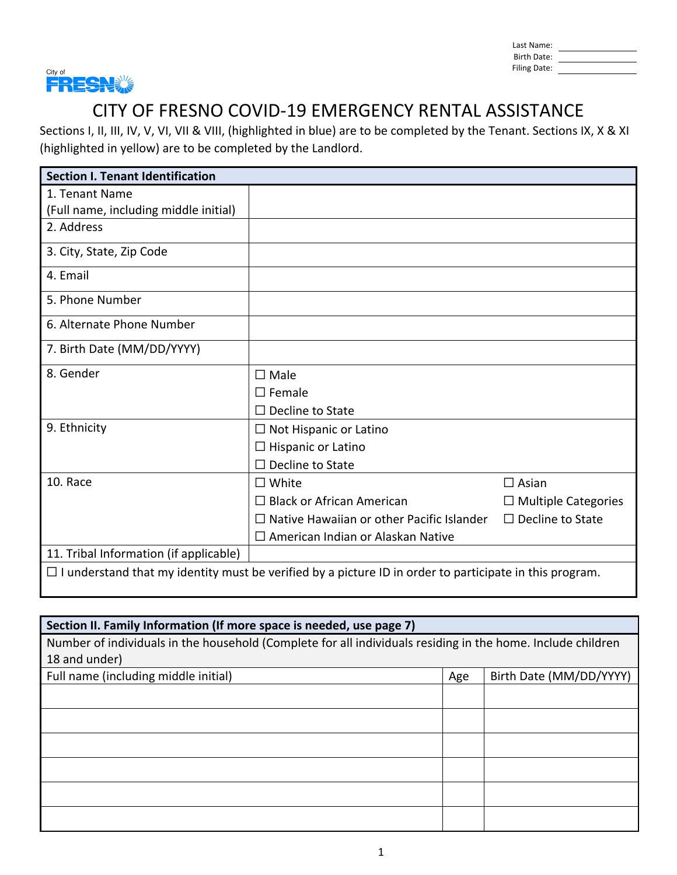| Last Name:   |  |
|--------------|--|
| Birth Date:  |  |
| Filing Date: |  |



Sections I, II, III, IV, V, VI, VII & VIII, (highlighted in blue) are to be completed by the Tenant. Sections IX, X & XI (highlighted in yellow) are to be completed by the Landlord.

| <b>Section I. Tenant Identification</b> |                                                                                                                |                            |
|-----------------------------------------|----------------------------------------------------------------------------------------------------------------|----------------------------|
| 1. Tenant Name                          |                                                                                                                |                            |
| (Full name, including middle initial)   |                                                                                                                |                            |
| 2. Address                              |                                                                                                                |                            |
| 3. City, State, Zip Code                |                                                                                                                |                            |
| 4. Email                                |                                                                                                                |                            |
| 5. Phone Number                         |                                                                                                                |                            |
| 6. Alternate Phone Number               |                                                                                                                |                            |
| 7. Birth Date (MM/DD/YYYY)              |                                                                                                                |                            |
| 8. Gender                               | $\square$ Male                                                                                                 |                            |
|                                         | $\square$ Female                                                                                               |                            |
|                                         | $\Box$ Decline to State                                                                                        |                            |
| 9. Ethnicity                            | $\Box$ Not Hispanic or Latino                                                                                  |                            |
|                                         | $\Box$ Hispanic or Latino                                                                                      |                            |
|                                         | $\Box$ Decline to State                                                                                        |                            |
| 10. Race                                | $\square$ White                                                                                                | $\Box$ Asian               |
|                                         | $\Box$ Black or African American                                                                               | $\Box$ Multiple Categories |
|                                         | $\Box$ Native Hawaiian or other Pacific Islander                                                               | $\Box$ Decline to State    |
|                                         | $\Box$ American Indian or Alaskan Native                                                                       |                            |
| 11. Tribal Information (if applicable)  |                                                                                                                |                            |
|                                         | $\Box$ I understand that my identity must be verified by a picture ID in order to participate in this program. |                            |

| Section II. Family Information (If more space is needed, use page 7)                                        |     |                         |
|-------------------------------------------------------------------------------------------------------------|-----|-------------------------|
| Number of individuals in the household (Complete for all individuals residing in the home. Include children |     |                         |
| 18 and under)                                                                                               |     |                         |
| Full name (including middle initial)                                                                        | Age | Birth Date (MM/DD/YYYY) |
|                                                                                                             |     |                         |
|                                                                                                             |     |                         |
|                                                                                                             |     |                         |
|                                                                                                             |     |                         |
|                                                                                                             |     |                         |
|                                                                                                             |     |                         |
|                                                                                                             |     |                         |
|                                                                                                             |     |                         |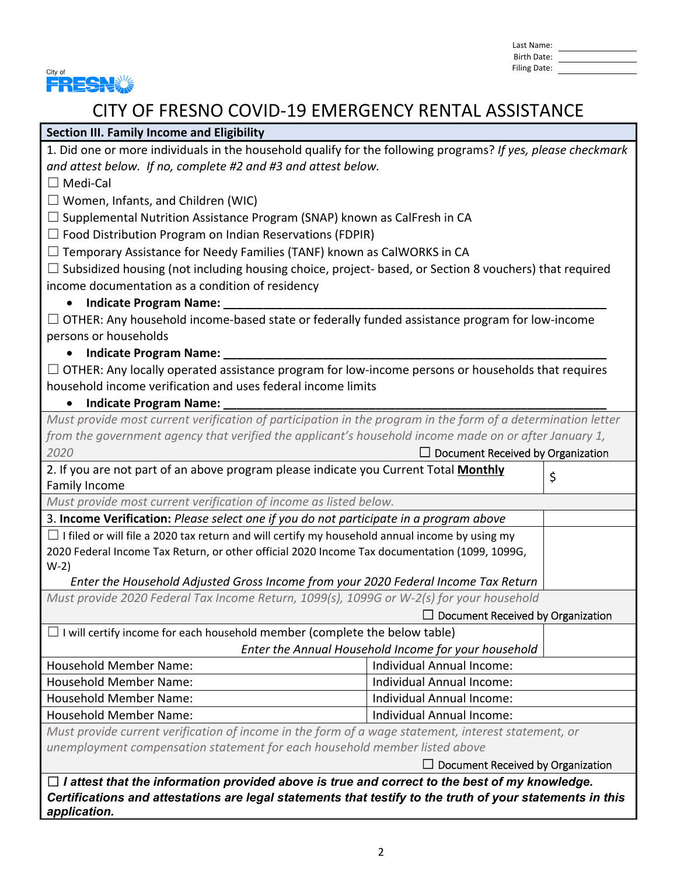| Last Name:   |  |
|--------------|--|
| Birth Date:  |  |
| Filing Date: |  |



### **Section III. Family Income and Eligibility**

1. Did one or more individuals in the household qualify for the following programs? *If yes, please checkmark and attest below. If no, complete #2 and #3 and attest below.*

☐ Medi‐Cal

 $\Box$  Women, Infants, and Children (WIC)

 $\Box$  Supplemental Nutrition Assistance Program (SNAP) known as CalFresh in CA

 $\Box$  Food Distribution Program on Indian Reservations (FDPIR)

 $\Box$  Temporary Assistance for Needy Families (TANF) known as CalWORKS in CA

 $\Box$  Subsidized housing (not including housing choice, project- based, or Section 8 vouchers) that required income documentation as a condition of residency

#### **•** Indicate Program Name:

 $\Box$  OTHER: Any household income-based state or federally funded assistance program for low-income persons or households

### **Indicate Program Name: \_\_\_\_\_\_\_\_\_\_\_\_\_\_\_\_\_\_\_\_\_\_\_\_\_\_\_\_\_\_\_\_\_\_\_\_\_\_\_\_\_\_\_\_\_\_\_\_\_\_\_\_\_\_\_\_\_\_**

 $\Box$  OTHER: Any locally operated assistance program for low-income persons or households that requires household income verification and uses federal income limits

### **Indicate Program Name: \_\_\_\_\_\_\_\_\_\_\_\_\_\_\_\_\_\_\_\_\_\_\_\_\_\_\_\_\_\_\_\_\_\_\_\_\_\_\_\_\_\_\_\_\_\_\_\_\_\_\_\_\_\_\_\_\_\_**

Must provide most current verification of participation in the program in the form of a determination letter *from the government agency that verified the applicant's household income made on or after January 1, 2020* ☐ Document Received by Organization

| ZUZU                                                                                                  | <b>DUCULLER</b> Received by Organization |    |
|-------------------------------------------------------------------------------------------------------|------------------------------------------|----|
| 2. If you are not part of an above program please indicate you Current Total Monthly                  |                                          | \$ |
| Family Income                                                                                         |                                          |    |
| Must provide most current verification of income as listed below.                                     |                                          |    |
| 3. Income Verification: Please select one if you do not participate in a program above                |                                          |    |
| $\Box$ I filed or will file a 2020 tax return and will certify my household annual income by using my |                                          |    |
| 2020 Federal Income Tax Return, or other official 2020 Income Tax documentation (1099, 1099G,         |                                          |    |
| $W-2)$                                                                                                |                                          |    |
| Enter the Household Adjusted Gross Income from your 2020 Federal Income Tax Return                    |                                          |    |
| Must provide 2020 Federal Tax Income Return, 1099(s), 1099G or W-2(s) for your household              |                                          |    |
| $\Box$ Document Received by Organization                                                              |                                          |    |
| $\Box$ I will certify income for each household member (complete the below table)                     |                                          |    |
| Enter the Annual Household Income for your household                                                  |                                          |    |
| <b>Household Member Name:</b>                                                                         | Individual Annual Income:                |    |
| <b>Household Member Name:</b><br>Individual Annual Income:                                            |                                          |    |
| <b>Household Member Name:</b><br>Individual Annual Income:                                            |                                          |    |
| <b>Household Member Name:</b><br>Individual Annual Income:                                            |                                          |    |
| Must provide current verification of income in the form of a wage statement, interest statement, or   |                                          |    |
| unemployment compensation statement for each household member listed above                            |                                          |    |

□ Document Received by Organization

☐ *I attest that the information provided above is true and correct to the best of my knowledge. Certifications and attestations are legal statements that testify to the truth of your statements in this application.*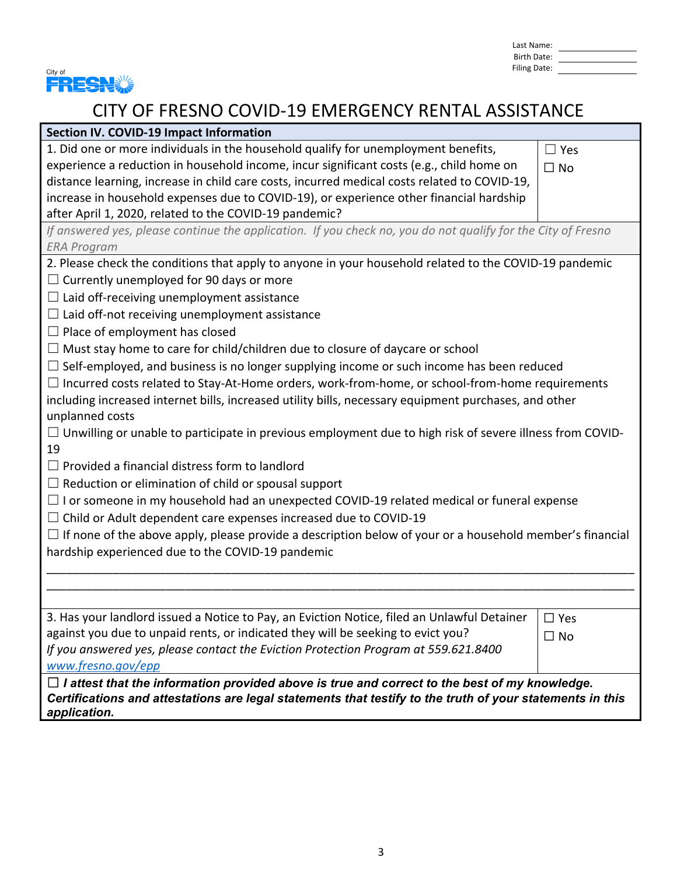| Last Name:   |  |
|--------------|--|
| Birth Date:  |  |
| Filing Date: |  |



| Section IV. COVID-19 Impact Information                                                                                   |               |  |
|---------------------------------------------------------------------------------------------------------------------------|---------------|--|
| 1. Did one or more individuals in the household qualify for unemployment benefits,                                        | $\Box$ Yes    |  |
| experience a reduction in household income, incur significant costs (e.g., child home on                                  | $\Box$ No     |  |
| distance learning, increase in child care costs, incurred medical costs related to COVID-19,                              |               |  |
| increase in household expenses due to COVID-19), or experience other financial hardship                                   |               |  |
| after April 1, 2020, related to the COVID-19 pandemic?                                                                    |               |  |
| If answered yes, please continue the application. If you check no, you do not qualify for the City of Fresno              |               |  |
| <b>ERA Program</b>                                                                                                        |               |  |
| 2. Please check the conditions that apply to anyone in your household related to the COVID-19 pandemic                    |               |  |
| $\Box$ Currently unemployed for 90 days or more                                                                           |               |  |
| $\Box$ Laid off-receiving unemployment assistance                                                                         |               |  |
| $\Box$ Laid off-not receiving unemployment assistance                                                                     |               |  |
| $\Box$ Place of employment has closed                                                                                     |               |  |
| $\Box$ Must stay home to care for child/children due to closure of daycare or school                                      |               |  |
| $\Box$ Self-employed, and business is no longer supplying income or such income has been reduced                          |               |  |
| $\Box$ Incurred costs related to Stay-At-Home orders, work-from-home, or school-from-home requirements                    |               |  |
| including increased internet bills, increased utility bills, necessary equipment purchases, and other                     |               |  |
| unplanned costs                                                                                                           |               |  |
| $\Box$ Unwilling or unable to participate in previous employment due to high risk of severe illness from COVID-           |               |  |
| 19                                                                                                                        |               |  |
| $\Box$ Provided a financial distress form to landlord                                                                     |               |  |
| $\Box$ Reduction or elimination of child or spousal support                                                               |               |  |
| $\Box$ I or someone in my household had an unexpected COVID-19 related medical or funeral expense                         |               |  |
| $\Box$ Child or Adult dependent care expenses increased due to COVID-19                                                   |               |  |
| $\Box$ If none of the above apply, please provide a description below of your or a household member's financial           |               |  |
| hardship experienced due to the COVID-19 pandemic                                                                         |               |  |
|                                                                                                                           |               |  |
|                                                                                                                           |               |  |
|                                                                                                                           |               |  |
| 3. Has your landlord issued a Notice to Pay, an Eviction Notice, filed an Unlawful Detainer                               | $\square$ Yes |  |
| against you due to unpaid rents, or indicated they will be seeking to evict you?                                          | $\Box$ No     |  |
| If you answered yes, please contact the Eviction Protection Program at 559.621.8400                                       |               |  |
| www.fresno.gov/epp                                                                                                        |               |  |
| $\Box$ I attest that the information provided above is true and correct to the best of my knowledge.                      |               |  |
| Certifications and attestations are legal statements that testify to the truth of your statements in this<br>application. |               |  |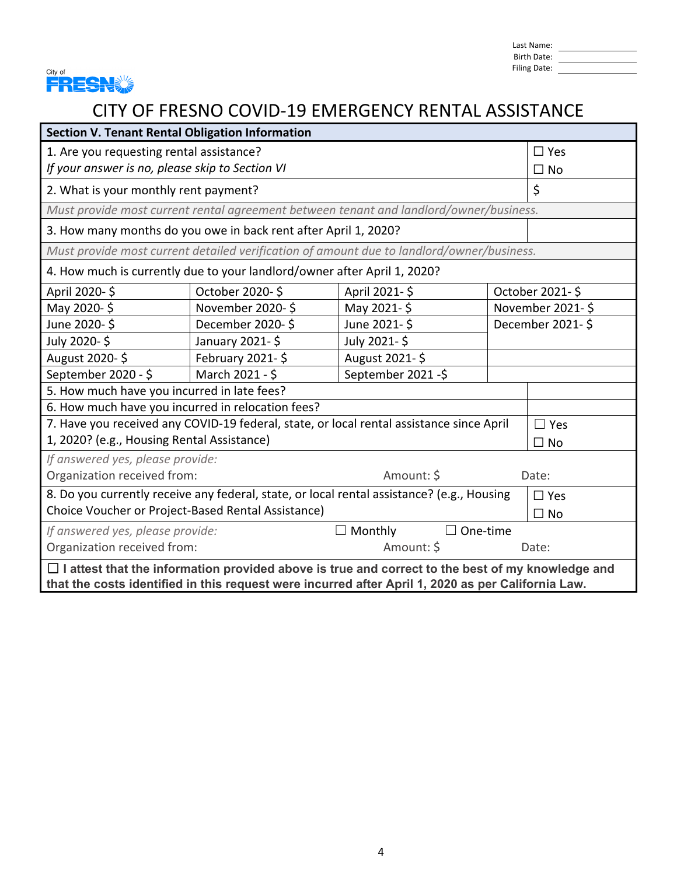

Last Name: Birth Date: Filing Date:

| <b>Section V. Tenant Rental Obligation Information</b>                                                                                                                                                        |                                                                          |                                                                                           |           |                  |
|---------------------------------------------------------------------------------------------------------------------------------------------------------------------------------------------------------------|--------------------------------------------------------------------------|-------------------------------------------------------------------------------------------|-----------|------------------|
| 1. Are you requesting rental assistance?<br>$\square$ Yes                                                                                                                                                     |                                                                          |                                                                                           |           |                  |
| If your answer is no, please skip to Section VI                                                                                                                                                               |                                                                          |                                                                                           | $\Box$ No |                  |
| 2. What is your monthly rent payment?                                                                                                                                                                         |                                                                          |                                                                                           |           | \$               |
|                                                                                                                                                                                                               |                                                                          | Must provide most current rental agreement between tenant and landlord/owner/business.    |           |                  |
|                                                                                                                                                                                                               | 3. How many months do you owe in back rent after April 1, 2020?          |                                                                                           |           |                  |
|                                                                                                                                                                                                               |                                                                          | Must provide most current detailed verification of amount due to landlord/owner/business. |           |                  |
|                                                                                                                                                                                                               | 4. How much is currently due to your landlord/owner after April 1, 2020? |                                                                                           |           |                  |
| April 2020-\$                                                                                                                                                                                                 | October 2020-\$                                                          | April 2021-\$                                                                             |           | October 2021-\$  |
| May 2020-\$                                                                                                                                                                                                   | November 2020-\$                                                         | May 2021-\$                                                                               |           | November 2021-\$ |
| June 2020-\$                                                                                                                                                                                                  | December 2020-\$                                                         | June 2021-\$                                                                              |           | December 2021-\$ |
| July 2020-\$                                                                                                                                                                                                  | January 2021-\$                                                          | July 2021-\$                                                                              |           |                  |
| August 2020-\$                                                                                                                                                                                                | February 2021-\$<br>August 2021-\$                                       |                                                                                           |           |                  |
| September 2020 - \$<br>March 2021 - \$<br>September 2021 -\$                                                                                                                                                  |                                                                          |                                                                                           |           |                  |
| 5. How much have you incurred in late fees?                                                                                                                                                                   |                                                                          |                                                                                           |           |                  |
| 6. How much have you incurred in relocation fees?                                                                                                                                                             |                                                                          |                                                                                           |           |                  |
| 7. Have you received any COVID-19 federal, state, or local rental assistance since April<br>$\Box$ Yes                                                                                                        |                                                                          |                                                                                           |           |                  |
| 1, 2020? (e.g., Housing Rental Assistance)                                                                                                                                                                    |                                                                          | $\square$ No                                                                              |           |                  |
| If answered yes, please provide:                                                                                                                                                                              |                                                                          |                                                                                           |           |                  |
| Organization received from:<br>Amount: \$<br>Date:                                                                                                                                                            |                                                                          |                                                                                           |           |                  |
| 8. Do you currently receive any federal, state, or local rental assistance? (e.g., Housing<br>$\Box$ Yes                                                                                                      |                                                                          |                                                                                           |           |                  |
| Choice Voucher or Project-Based Rental Assistance)<br>$\Box$ No                                                                                                                                               |                                                                          |                                                                                           |           |                  |
| If answered yes, please provide:<br>$\Box$ Monthly<br>One-time<br>$\Box$                                                                                                                                      |                                                                          |                                                                                           |           |                  |
| Organization received from:<br>Amount: \$<br>Date:                                                                                                                                                            |                                                                          |                                                                                           |           |                  |
| $\Box$ I attest that the information provided above is true and correct to the best of my knowledge and<br>that the costs identified in this request were incurred after April 1, 2020 as per California Law. |                                                                          |                                                                                           |           |                  |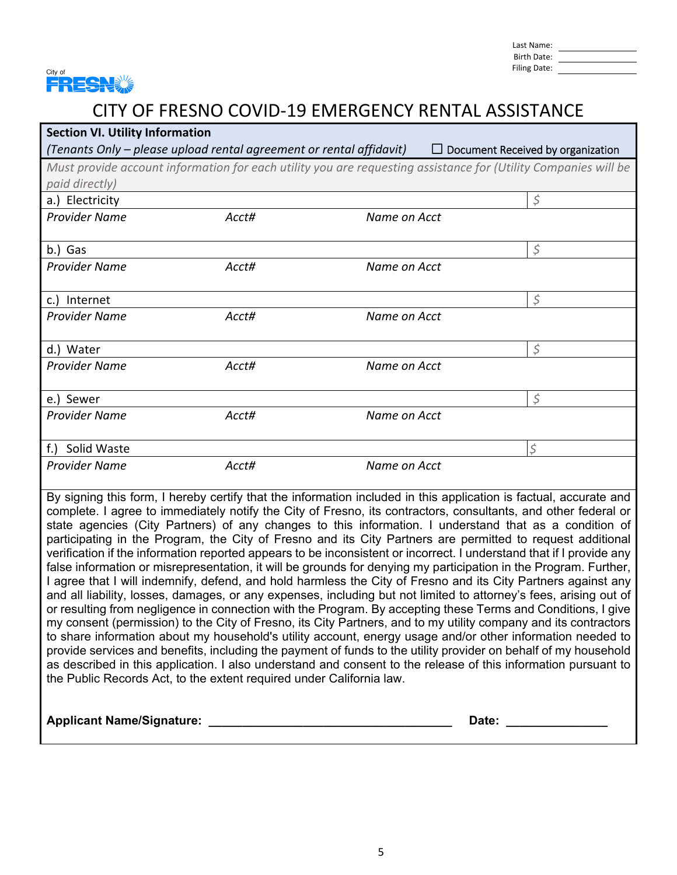

| <b>Section VI. Utility Information</b>                                                                                                                                                                               |       |              |                                          |
|----------------------------------------------------------------------------------------------------------------------------------------------------------------------------------------------------------------------|-------|--------------|------------------------------------------|
| (Tenants Only – please upload rental agreement or rental affidavit)                                                                                                                                                  |       |              | $\Box$ Document Received by organization |
| Must provide account information for each utility you are requesting assistance for (Utility Companies will be                                                                                                       |       |              |                                          |
| paid directly)                                                                                                                                                                                                       |       |              |                                          |
| a.) Electricity                                                                                                                                                                                                      |       |              | $\varsigma$                              |
| <b>Provider Name</b>                                                                                                                                                                                                 | Acct# | Name on Acct |                                          |
|                                                                                                                                                                                                                      |       |              |                                          |
| b.) Gas                                                                                                                                                                                                              |       |              | $\varsigma$                              |
| <b>Provider Name</b>                                                                                                                                                                                                 | Acct# | Name on Acct |                                          |
|                                                                                                                                                                                                                      |       |              |                                          |
| c.) Internet                                                                                                                                                                                                         |       |              | $\zeta$                                  |
| <b>Provider Name</b>                                                                                                                                                                                                 | Acct# | Name on Acct |                                          |
| d.) Water                                                                                                                                                                                                            |       |              | \$                                       |
| <b>Provider Name</b>                                                                                                                                                                                                 | Acct# | Name on Acct |                                          |
|                                                                                                                                                                                                                      |       |              |                                          |
| e.) Sewer                                                                                                                                                                                                            |       |              | $\varsigma$                              |
| <b>Provider Name</b>                                                                                                                                                                                                 | Acct# | Name on Acct |                                          |
|                                                                                                                                                                                                                      |       |              |                                          |
| f.) Solid Waste                                                                                                                                                                                                      |       |              | \$                                       |
| <b>Provider Name</b>                                                                                                                                                                                                 | Acct# | Name on Acct |                                          |
|                                                                                                                                                                                                                      |       |              |                                          |
| By signing this form, I hereby certify that the information included in this application is factual, accurate and                                                                                                    |       |              |                                          |
| complete. I agree to immediately notify the City of Fresno, its contractors, consultants, and other federal or                                                                                                       |       |              |                                          |
| state agencies (City Partners) of any changes to this information. I understand that as a condition of<br>participating in the Program, the City of Fresno and its City Partners are permitted to request additional |       |              |                                          |
| verification if the information reported appears to be inconsistent or incorrect. I understand that if I provide any                                                                                                 |       |              |                                          |
| false information or misrepresentation, it will be grounds for denying my participation in the Program. Further,                                                                                                     |       |              |                                          |
| I agree that I will indemnify, defend, and hold harmless the City of Fresno and its City Partners against any                                                                                                        |       |              |                                          |
| and all liability, losses, damages, or any expenses, including but not limited to attorney's fees, arising out of                                                                                                    |       |              |                                          |
| or resulting from negligence in connection with the Program. By accepting these Terms and Conditions, I give                                                                                                         |       |              |                                          |
| my consent (permission) to the City of Fresno, its City Partners, and to my utility company and its contractors                                                                                                      |       |              |                                          |
| to share information about my household's utility account, energy usage and/or other information needed to                                                                                                           |       |              |                                          |
| provide services and benefits, including the payment of funds to the utility provider on behalf of my household                                                                                                      |       |              |                                          |
| as described in this application. I also understand and consent to the release of this information pursuant to                                                                                                       |       |              |                                          |
| the Public Records Act, to the extent required under California law.                                                                                                                                                 |       |              |                                          |
|                                                                                                                                                                                                                      |       |              |                                          |
| <b>Applicant Name/Signature:</b>                                                                                                                                                                                     |       | Date:        |                                          |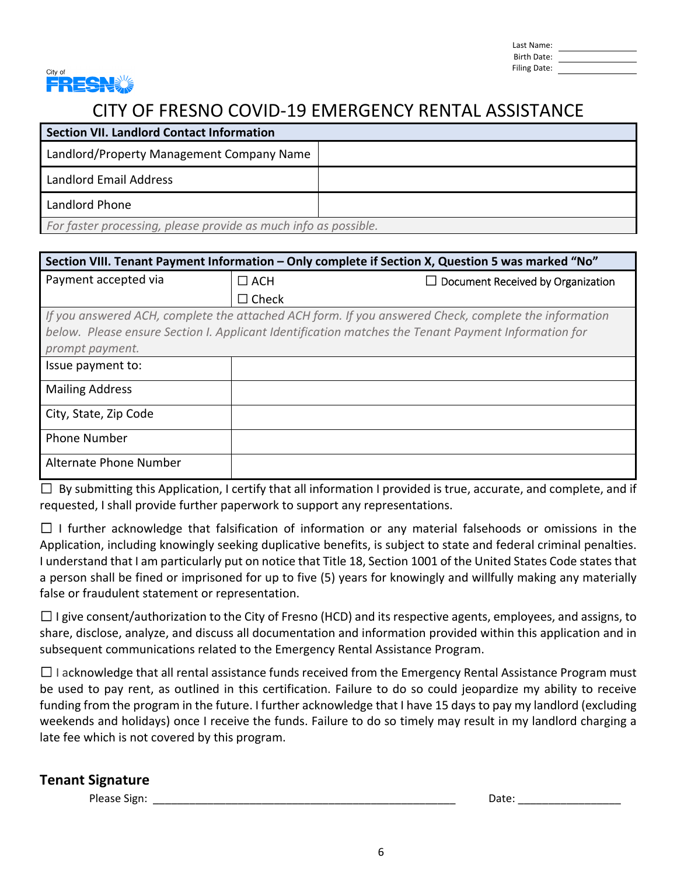| Last Name:   |  |
|--------------|--|
| Birth Date:  |  |
| Filing Date: |  |



| <b>Section VII. Landlord Contact Information</b>                |  |
|-----------------------------------------------------------------|--|
| Landlord/Property Management Company Name                       |  |
| Landlord Email Address                                          |  |
| Landlord Phone                                                  |  |
| For faster processing, please provide as much info as possible. |  |

| Section VIII. Tenant Payment Information - Only complete if Section X, Question 5 was marked "No" |              |                                                                                                      |
|---------------------------------------------------------------------------------------------------|--------------|------------------------------------------------------------------------------------------------------|
| Payment accepted via                                                                              | $\Box$ ACH   | $\Box$ Document Received by Organization                                                             |
|                                                                                                   | $\Box$ Check |                                                                                                      |
|                                                                                                   |              | If you answered ACH, complete the attached ACH form. If you answered Check, complete the information |
|                                                                                                   |              | below. Please ensure Section I. Applicant Identification matches the Tenant Payment Information for  |
| prompt payment.                                                                                   |              |                                                                                                      |
| Issue payment to:                                                                                 |              |                                                                                                      |
| <b>Mailing Address</b>                                                                            |              |                                                                                                      |
| City, State, Zip Code                                                                             |              |                                                                                                      |
| <b>Phone Number</b>                                                                               |              |                                                                                                      |
| Alternate Phone Number                                                                            |              |                                                                                                      |

☐By submitting this Application, I certify that all information I provided is true, accurate, and complete, and if requested, I shall provide further paperwork to support any representations.

 $\Box$  I further acknowledge that falsification of information or any material falsehoods or omissions in the Application, including knowingly seeking duplicative benefits, is subject to state and federal criminal penalties. I understand that I am particularly put on notice that Title 18, Section 1001 of the United States Code states that a person shall be fined or imprisoned for up to five (5) years for knowingly and willfully making any materially false or fraudulent statement or representation.

 $\Box$  I give consent/authorization to the City of Fresno (HCD) and its respective agents, employees, and assigns, to share, disclose, analyze, and discuss all documentation and information provided within this application and in subsequent communications related to the Emergency Rental Assistance Program.

 $\Box$  I acknowledge that all rental assistance funds received from the Emergency Rental Assistance Program must be used to pay rent, as outlined in this certification. Failure to do so could jeopardize my ability to receive funding from the program in the future. I further acknowledge that I have 15 days to pay my landlord (excluding weekends and holidays) once I receive the funds. Failure to do so timely may result in my landlord charging a late fee which is not covered by this program.

### **Tenant Signature**

Please Sign: \_\_\_\_\_\_\_\_\_\_\_\_\_\_\_\_\_\_\_\_\_\_\_\_\_\_\_\_\_\_\_\_\_\_\_\_\_\_\_\_\_\_\_\_\_\_\_\_\_\_ Date: \_\_\_\_\_\_\_\_\_\_\_\_\_\_\_\_\_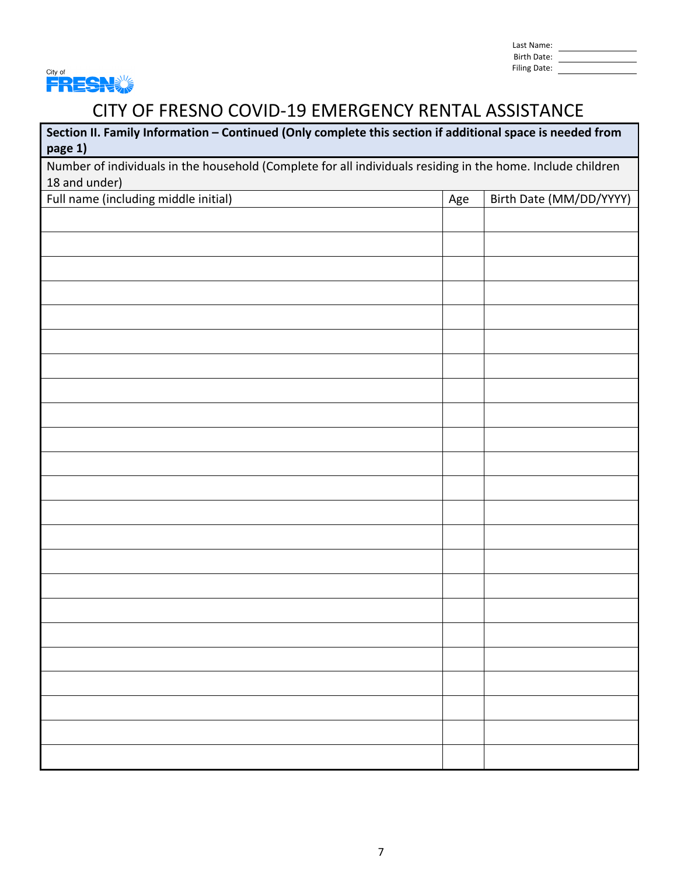| Last Name:   |  |
|--------------|--|
| Birth Date:  |  |
| Filing Date: |  |



| Section II. Family Information - Continued (Only complete this section if additional space is needed from<br>page 1) |  |  |  |
|----------------------------------------------------------------------------------------------------------------------|--|--|--|
| Number of individuals in the household (Complete for all individuals residing in the home. Include children          |  |  |  |
| 18 and under)                                                                                                        |  |  |  |
| Full name (including middle initial)<br>Birth Date (MM/DD/YYYY)<br>Age                                               |  |  |  |
|                                                                                                                      |  |  |  |
|                                                                                                                      |  |  |  |
|                                                                                                                      |  |  |  |
|                                                                                                                      |  |  |  |
|                                                                                                                      |  |  |  |
|                                                                                                                      |  |  |  |
|                                                                                                                      |  |  |  |
|                                                                                                                      |  |  |  |
|                                                                                                                      |  |  |  |
|                                                                                                                      |  |  |  |
|                                                                                                                      |  |  |  |
|                                                                                                                      |  |  |  |
|                                                                                                                      |  |  |  |
|                                                                                                                      |  |  |  |
|                                                                                                                      |  |  |  |
|                                                                                                                      |  |  |  |
|                                                                                                                      |  |  |  |
|                                                                                                                      |  |  |  |
|                                                                                                                      |  |  |  |
|                                                                                                                      |  |  |  |
|                                                                                                                      |  |  |  |
|                                                                                                                      |  |  |  |
|                                                                                                                      |  |  |  |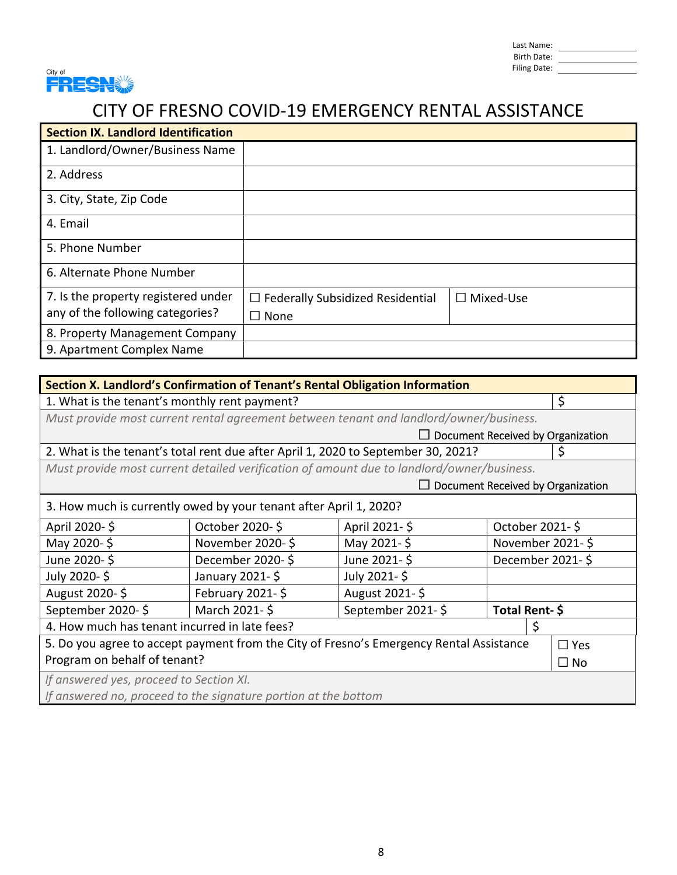| Last Name:   |  |
|--------------|--|
| Birth Date:  |  |
| Filing Date: |  |



| <b>Section IX. Landlord Identification</b> |                                         |                  |
|--------------------------------------------|-----------------------------------------|------------------|
| 1. Landlord/Owner/Business Name            |                                         |                  |
| 2. Address                                 |                                         |                  |
| 3. City, State, Zip Code                   |                                         |                  |
| 4. Email                                   |                                         |                  |
| 5. Phone Number                            |                                         |                  |
| 6. Alternate Phone Number                  |                                         |                  |
| 7. Is the property registered under        | $\Box$ Federally Subsidized Residential | $\Box$ Mixed-Use |
| any of the following categories?           | $\Box$ None                             |                  |
| 8. Property Management Company             |                                         |                  |
| 9. Apartment Complex Name                  |                                         |                  |

| Section X. Landlord's Confirmation of Tenant's Rental Obligation Information                          |                                                                                           |                                          |                  |   |
|-------------------------------------------------------------------------------------------------------|-------------------------------------------------------------------------------------------|------------------------------------------|------------------|---|
|                                                                                                       | \$<br>1. What is the tenant's monthly rent payment?                                       |                                          |                  |   |
|                                                                                                       | Must provide most current rental agreement between tenant and landlord/owner/business.    |                                          |                  |   |
|                                                                                                       |                                                                                           | $\Box$ Document Received by Organization |                  |   |
|                                                                                                       | 2. What is the tenant's total rent due after April 1, 2020 to September 30, 2021?         |                                          |                  | S |
|                                                                                                       | Must provide most current detailed verification of amount due to landlord/owner/business. |                                          |                  |   |
|                                                                                                       |                                                                                           | $\Box$ Document Received by Organization |                  |   |
|                                                                                                       | 3. How much is currently owed by your tenant after April 1, 2020?                         |                                          |                  |   |
| April 2020-\$                                                                                         | October 2020-\$                                                                           | April 2021-\$                            | October 2021-\$  |   |
| May 2020-\$                                                                                           | November 2020-\$                                                                          | May 2021-\$                              | November 2021-\$ |   |
| June 2020-\$                                                                                          | December 2020-\$                                                                          | June 2021-\$                             | December 2021-\$ |   |
| July 2020-\$                                                                                          | January 2021-\$                                                                           | July 2021-\$                             |                  |   |
| August 2020-\$                                                                                        | February 2021- $\frac{1}{2}$                                                              | August 2021-\$                           |                  |   |
| September 2020-\$                                                                                     | March 2021-\$                                                                             | September 2021-\$                        | Total Rent-\$    |   |
| 4. How much has tenant incurred in late fees?<br>Ś                                                    |                                                                                           |                                          |                  |   |
| 5. Do you agree to accept payment from the City of Fresno's Emergency Rental Assistance<br>$\Box$ Yes |                                                                                           |                                          |                  |   |
| Program on behalf of tenant?<br>$\Box$ No                                                             |                                                                                           |                                          |                  |   |
| If answered yes, proceed to Section XI.                                                               |                                                                                           |                                          |                  |   |
| If answered no, proceed to the signature portion at the bottom                                        |                                                                                           |                                          |                  |   |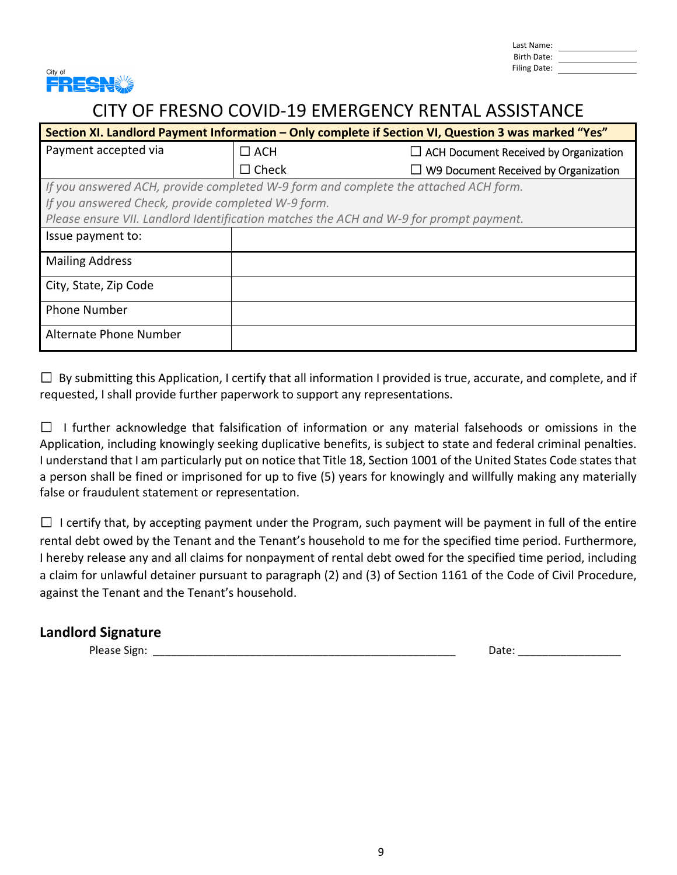Last Name: Birth Date: Filing Date:



### CITY OF FRESNO COVID‐19 EMERGENCY RENTAL ASSISTANCE

| Section XI. Landlord Payment Information – Only complete if Section VI, Question 3 was marked "Yes" |              |                                              |
|-----------------------------------------------------------------------------------------------------|--------------|----------------------------------------------|
| Payment accepted via                                                                                | $\Box$ ACH   | $\Box$ ACH Document Received by Organization |
|                                                                                                     | $\Box$ Check | $\Box$ W9 Document Received by Organization  |
| If you answered ACH, provide completed W-9 form and complete the attached ACH form.                 |              |                                              |
| If you answered Check, provide completed W-9 form.                                                  |              |                                              |
| Please ensure VII. Landlord Identification matches the ACH and W-9 for prompt payment.              |              |                                              |
| Issue payment to:                                                                                   |              |                                              |
| <b>Mailing Address</b>                                                                              |              |                                              |
| City, State, Zip Code                                                                               |              |                                              |
| <b>Phone Number</b>                                                                                 |              |                                              |
| Alternate Phone Number                                                                              |              |                                              |

 $\Box$  By submitting this Application, I certify that all information I provided is true, accurate, and complete, and if requested, I shall provide further paperwork to support any representations.

 $\Box$  I further acknowledge that falsification of information or any material falsehoods or omissions in the Application, including knowingly seeking duplicative benefits, is subject to state and federal criminal penalties. I understand that I am particularly put on notice that Title 18, Section 1001 of the United States Code states that a person shall be fined or imprisoned for up to five (5) years for knowingly and willfully making any materially false or fraudulent statement or representation.

 $\Box$  I certify that, by accepting payment under the Program, such payment will be payment in full of the entire rental debt owed by the Tenant and the Tenant's household to me for the specified time period. Furthermore, I hereby release any and all claims for nonpayment of rental debt owed for the specified time period, including a claim for unlawful detainer pursuant to paragraph (2) and (3) of Section 1161 of the Code of Civil Procedure, against the Tenant and the Tenant's household.

### **Landlord Signature**

Please Sign: \_\_\_\_\_\_\_\_\_\_\_\_\_\_\_\_\_\_\_\_\_\_\_\_\_\_\_\_\_\_\_\_\_\_\_\_\_\_\_\_\_\_\_\_\_\_\_\_\_\_ Date: \_\_\_\_\_\_\_\_\_\_\_\_\_\_\_\_\_